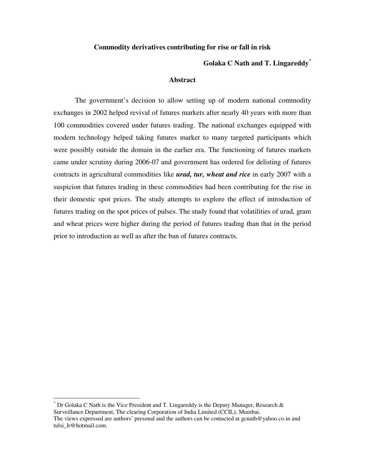## **Commodity derivatives contributing for rise or fall in risk**

## **Golaka C Nath and T. Lingareddy**\*

## **Abstract**

The government's decision to allow setting up of modern national commodity exchanges in 2002 helped revival of futures markets after nearly 40 years with more than 100 commodities covered under futures trading. The national exchanges equipped with modern technology helped taking futures market to many targeted participants which were possibly outside the domain in the earlier era. The functioning of futures markets came under scrutiny during 2006-07 and government has ordered for delisting of futures contracts in agricultural commodities like *urad, tur, wheat and rice* in early 2007 with a suspicion that futures trading in these commodities had been contributing for the rise in their domestic spot prices. The study attempts to explore the effect of introduction of futures trading on the spot prices of pulses. The study found that volatilities of urad, gram and wheat prices were higher during the period of futures trading than that in the period prior to introduction as well as after the ban of futures contracts.

 $\overline{a}$ 

<sup>\*</sup> Dr Golaka C Nath is the Vice President and T. Lingareddy is the Deputy Manager, Research & Surveillance Department, The clearing Corporation of India Limited (CCIL), Mumbai. The views expressed are authors' personal and the authors can be contacted at gcnath@yahoo.co.in and tulsi lr@hotmail.com.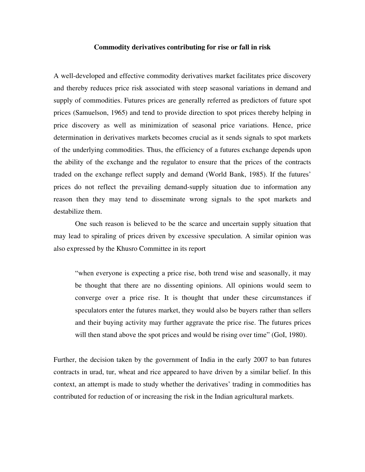### **Commodity derivatives contributing for rise or fall in risk**

A well-developed and effective commodity derivatives market facilitates price discovery and thereby reduces price risk associated with steep seasonal variations in demand and supply of commodities. Futures prices are generally referred as predictors of future spot prices (Samuelson, 1965) and tend to provide direction to spot prices thereby helping in price discovery as well as minimization of seasonal price variations. Hence, price determination in derivatives markets becomes crucial as it sends signals to spot markets of the underlying commodities. Thus, the efficiency of a futures exchange depends upon the ability of the exchange and the regulator to ensure that the prices of the contracts traded on the exchange reflect supply and demand (World Bank, 1985). If the futures' prices do not reflect the prevailing demand-supply situation due to information any reason then they may tend to disseminate wrong signals to the spot markets and destabilize them.

One such reason is believed to be the scarce and uncertain supply situation that may lead to spiraling of prices driven by excessive speculation. A similar opinion was also expressed by the Khusro Committee in its report

"when everyone is expecting a price rise, both trend wise and seasonally, it may be thought that there are no dissenting opinions. All opinions would seem to converge over a price rise. It is thought that under these circumstances if speculators enter the futures market, they would also be buyers rather than sellers and their buying activity may further aggravate the price rise. The futures prices will then stand above the spot prices and would be rising over time" (GoI, 1980).

Further, the decision taken by the government of India in the early 2007 to ban futures contracts in urad, tur, wheat and rice appeared to have driven by a similar belief. In this context, an attempt is made to study whether the derivatives' trading in commodities has contributed for reduction of or increasing the risk in the Indian agricultural markets.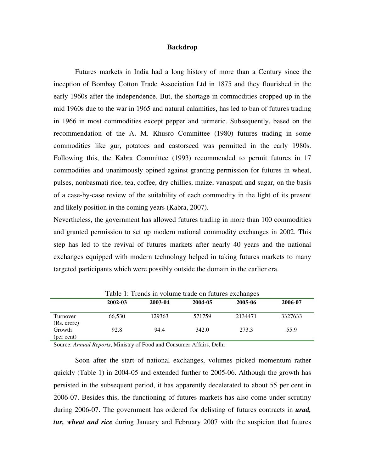## **Backdrop**

Futures markets in India had a long history of more than a Century since the inception of Bombay Cotton Trade Association Ltd in 1875 and they flourished in the early 1960s after the independence. But, the shortage in commodities cropped up in the mid 1960s due to the war in 1965 and natural calamities, has led to ban of futures trading in 1966 in most commodities except pepper and turmeric. Subsequently, based on the recommendation of the A. M. Khusro Committee (1980) futures trading in some commodities like gur, potatoes and castorseed was permitted in the early 1980s. Following this, the Kabra Committee (1993) recommended to permit futures in 17 commodities and unanimously opined against granting permission for futures in wheat, pulses, nonbasmati rice, tea, coffee, dry chillies, maize, vanaspati and sugar, on the basis of a case-by-case review of the suitability of each commodity in the light of its present and likely position in the coming years (Kabra, 2007).

Nevertheless, the government has allowed futures trading in more than 100 commodities and granted permission to set up modern national commodity exchanges in 2002. This step has led to the revival of futures markets after nearly 40 years and the national exchanges equipped with modern technology helped in taking futures markets to many targeted participants which were possibly outside the domain in the earlier era.

| Table 1: Trends in volume trade on futures exchanges |         |         |         |         |         |  |  |
|------------------------------------------------------|---------|---------|---------|---------|---------|--|--|
|                                                      | 2002-03 | 2003-04 | 2004-05 | 2005-06 | 2006-07 |  |  |
| Turnover<br>(Rs. crore)                              | 66.530  | 129363  | 571759  | 2134471 | 3327633 |  |  |
| Growth<br>(per cent)                                 | 92.8    | 94.4    | 342.0   | 273.3   | 55.9    |  |  |

Table 1: Trends in volume trade on futures exchanges

Source: *Annual Reports*, Ministry of Food and Consumer Affairs, Delhi

Soon after the start of national exchanges, volumes picked momentum rather quickly (Table 1) in 2004-05 and extended further to 2005-06. Although the growth has persisted in the subsequent period, it has apparently decelerated to about 55 per cent in 2006-07. Besides this, the functioning of futures markets has also come under scrutiny during 2006-07. The government has ordered for delisting of futures contracts in *urad, tur, wheat and rice* during January and February 2007 with the suspicion that futures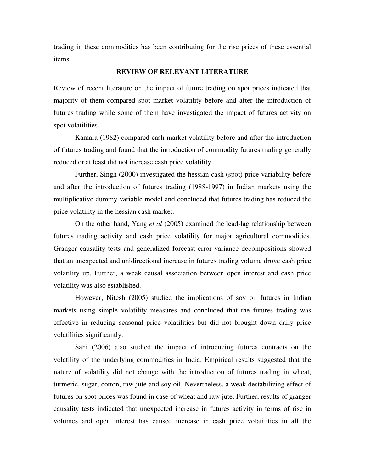trading in these commodities has been contributing for the rise prices of these essential items.

## **REVIEW OF RELEVANT LITERATURE**

Review of recent literature on the impact of future trading on spot prices indicated that majority of them compared spot market volatility before and after the introduction of futures trading while some of them have investigated the impact of futures activity on spot volatilities.

Kamara (1982) compared cash market volatility before and after the introduction of futures trading and found that the introduction of commodity futures trading generally reduced or at least did not increase cash price volatility.

Further, Singh (2000) investigated the hessian cash (spot) price variability before and after the introduction of futures trading (1988-1997) in Indian markets using the multiplicative dummy variable model and concluded that futures trading has reduced the price volatility in the hessian cash market.

On the other hand, Yang *et al* (2005) examined the lead-lag relationship between futures trading activity and cash price volatility for major agricultural commodities. Granger causality tests and generalized forecast error variance decompositions showed that an unexpected and unidirectional increase in futures trading volume drove cash price volatility up. Further, a weak causal association between open interest and cash price volatility was also established.

However, Nitesh (2005) studied the implications of soy oil futures in Indian markets using simple volatility measures and concluded that the futures trading was effective in reducing seasonal price volatilities but did not brought down daily price volatilities significantly.

Sahi (2006) also studied the impact of introducing futures contracts on the volatility of the underlying commodities in India. Empirical results suggested that the nature of volatility did not change with the introduction of futures trading in wheat, turmeric, sugar, cotton, raw jute and soy oil. Nevertheless, a weak destabilizing effect of futures on spot prices was found in case of wheat and raw jute. Further, results of granger causality tests indicated that unexpected increase in futures activity in terms of rise in volumes and open interest has caused increase in cash price volatilities in all the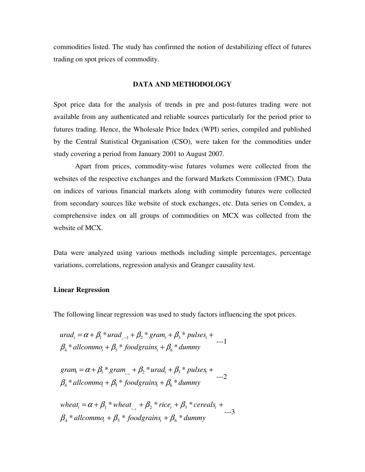commodities listed. The study has confirmed the notion of destabilizing effect of futures trading on spot prices of commodity.

#### **DATA AND METHODOLOGY**

Spot price data for the analysis of trends in pre and post-futures trading were not available from any authenticated and reliable sources particularly for the period prior to futures trading. Hence, the Wholesale Price Index (WPI) series, compiled and published by the Central Statistical Organisation (CSO), were taken for the commodities under study covering a period from January 2001 to August 2007.

 Apart from prices, commodity-wise futures volumes were collected from the websites of the respective exchanges and the forward Markets Commission (FMC). Data on indices of various financial markets along with commodity futures were collected from secondary sources like website of stock exchanges, etc. Data series on Comdex, a comprehensive index on all groups of commodities on MCX was collected from the website of MCX.

Data were analyzed using various methods including simple percentages, percentage variations, correlations, regression analysis and Granger causality test.

## **Linear Regression**

The following linear regression was used to study factors influencing the spot prices.

$$
urad_{t} = \alpha + \beta_{1} * urad_{t-1} + \beta_{2} * gram_{t} + \beta_{3} * pulses_{t} + \beta_{4} * allcomm_{t} + \beta_{5} * foodgrains_{t} + \beta_{6} * dummy
$$

 $\beta_{\scriptscriptstyle{4}}$  \* allcommo<sub>t</sub> +  $\beta_{\scriptscriptstyle{5}}$  \* foodgrains<sub>t</sub> +  $\beta_{\scriptscriptstyle{6}}$  \* dummy  $\text{gram}_{t} = \alpha + \beta_{1} * \text{ gram}_{t-1} + \beta_{2} * \text{urad}_{t} + \beta_{3} * \text{ pulses}_{t} + \dots$ 

 $\beta_4 * \text{allowmo}_t + \beta_5 * \text{foodgrains}_t + \beta_6 * \text{dummy}$  $wheat_t = \alpha + \beta_1 * wheat_{t-1} + \beta_2 * rice_t + \beta_3 * cereals_t + \frac{1}{1-\beta_1 + \beta_2 + \beta_3 + \cdots}$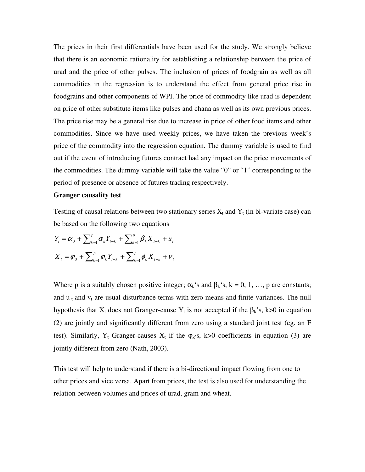The prices in their first differentials have been used for the study. We strongly believe that there is an economic rationality for establishing a relationship between the price of urad and the price of other pulses. The inclusion of prices of foodgrain as well as all commodities in the regression is to understand the effect from general price rise in foodgrains and other components of WPI. The price of commodity like urad is dependent on price of other substitute items like pulses and chana as well as its own previous prices. The price rise may be a general rise due to increase in price of other food items and other commodities. Since we have used weekly prices, we have taken the previous week's price of the commodity into the regression equation. The dummy variable is used to find out if the event of introducing futures contract had any impact on the price movements of the commodities. The dummy variable will take the value "0" or "1" corresponding to the period of presence or absence of futures trading respectively.

#### **Granger causality test**

Testing of causal relations between two stationary series  $X_t$  and  $Y_t$  (in bi-variate case) can be based on the following two equations

$$
Y_{t} = \alpha_{0} + \sum_{k=1}^{p} \alpha_{k} Y_{t-k} + \sum_{k=1}^{p} \beta_{k} X_{t-k} + u_{t}
$$
  

$$
X_{t} = \varphi_{0} + \sum_{k=1}^{p} \varphi_{k} Y_{t-k} + \sum_{k=1}^{p} \phi_{k} X_{t-k} + v_{t}
$$

Where p is a suitably chosen positive integer;  $\alpha_k$ 's and  $\beta_k$ 's, k = 0, 1, ..., p are constants; and  $u_t$  and  $v_t$  are usual disturbance terms with zero means and finite variances. The null hypothesis that  $X_t$  does not Granger-cause  $Y_t$  is not accepted if the  $\beta_k$ 's, k>0 in equation (2) are jointly and significantly different from zero using a standard joint test (eg. an F test). Similarly,  $Y_t$  Granger-causes  $X_t$  if the  $\varphi_k$ 's, k>0 coefficients in equation (3) are jointly different from zero (Nath, 2003).

This test will help to understand if there is a bi-directional impact flowing from one to other prices and vice versa. Apart from prices, the test is also used for understanding the relation between volumes and prices of urad, gram and wheat.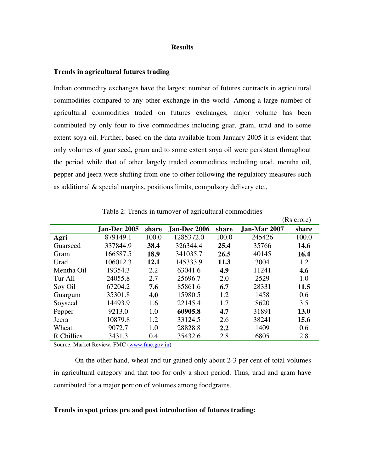#### **Results**

### **Trends in agricultural futures trading**

Indian commodity exchanges have the largest number of futures contracts in agricultural commodities compared to any other exchange in the world. Among a large number of agricultural commodities traded on futures exchanges, major volume has been contributed by only four to five commodities including guar, gram, urad and to some extent soya oil. Further, based on the data available from January 2005 it is evident that only volumes of guar seed, gram and to some extent soya oil were persistent throughout the period while that of other largely traded commodities including urad, mentha oil, pepper and jeera were shifting from one to other following the regulatory measures such as additional & special margins, positions limits, compulsory delivery etc.,

|            |              |       |              |       |              | (Rs crore) |
|------------|--------------|-------|--------------|-------|--------------|------------|
|            | Jan-Dec 2005 | share | Jan-Dec 2006 | share | Jan-Mar 2007 | share      |
| Agri       | 879149.1     | 100.0 | 1285372.0    | 100.0 | 245426       | 100.0      |
| Guarseed   | 337844.9     | 38.4  | 326344.4     | 25.4  | 35766        | 14.6       |
| Gram       | 166587.5     | 18.9  | 341035.7     | 26.5  | 40145        | 16.4       |
| Urad       | 106012.3     | 12.1  | 145333.9     | 11.3  | 3004         | 1.2        |
| Mentha Oil | 19354.3      | 2.2   | 63041.6      | 4.9   | 11241        | 4.6        |
| Tur All    | 24055.8      | 2.7   | 25696.7      | 2.0   | 2529         | 1.0        |
| Soy Oil    | 67204.2      | 7.6   | 85861.6      | 6.7   | 28331        | 11.5       |
| Guargum    | 35301.8      | 4.0   | 15980.5      | 1.2   | 1458         | 0.6        |
| Soyseed    | 14493.9      | 1.6   | 22145.4      | 1.7   | 8620         | 3.5        |
| Pepper     | 9213.0       | 1.0   | 60905.8      | 4.7   | 31891        | 13.0       |
| Jeera      | 10879.8      | 1.2   | 33124.5      | 2.6   | 38241        | 15.6       |
| Wheat      | 9072.7       | 1.0   | 28828.8      | 2.2   | 1409         | 0.6        |
| R Chillies | 3431.3       | 0.4   | 35432.6      | 2.8   | 6805         | 2.8        |

Table 2: Trends in turnover of agricultural commodities

Source: Market Review, FMC (www.fmc.gov.in)

On the other hand, wheat and tur gained only about 2-3 per cent of total volumes in agricultural category and that too for only a short period. Thus, urad and gram have contributed for a major portion of volumes among foodgrains.

## **Trends in spot prices pre and post introduction of futures trading:**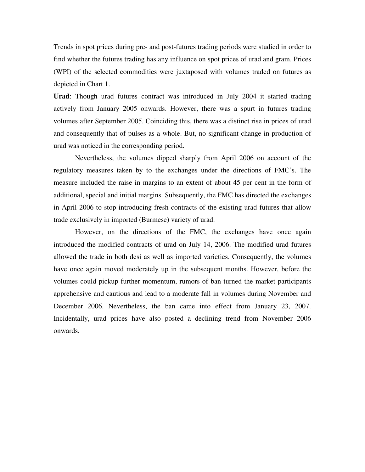Trends in spot prices during pre- and post-futures trading periods were studied in order to find whether the futures trading has any influence on spot prices of urad and gram. Prices (WPI) of the selected commodities were juxtaposed with volumes traded on futures as depicted in Chart 1.

**Urad**: Though urad futures contract was introduced in July 2004 it started trading actively from January 2005 onwards. However, there was a spurt in futures trading volumes after September 2005. Coinciding this, there was a distinct rise in prices of urad and consequently that of pulses as a whole. But, no significant change in production of urad was noticed in the corresponding period.

Nevertheless, the volumes dipped sharply from April 2006 on account of the regulatory measures taken by to the exchanges under the directions of FMC's. The measure included the raise in margins to an extent of about 45 per cent in the form of additional, special and initial margins. Subsequently, the FMC has directed the exchanges in April 2006 to stop introducing fresh contracts of the existing urad futures that allow trade exclusively in imported (Burmese) variety of urad.

However, on the directions of the FMC, the exchanges have once again introduced the modified contracts of urad on July 14, 2006. The modified urad futures allowed the trade in both desi as well as imported varieties. Consequently, the volumes have once again moved moderately up in the subsequent months. However, before the volumes could pickup further momentum, rumors of ban turned the market participants apprehensive and cautious and lead to a moderate fall in volumes during November and December 2006. Nevertheless, the ban came into effect from January 23, 2007. Incidentally, urad prices have also posted a declining trend from November 2006 onwards.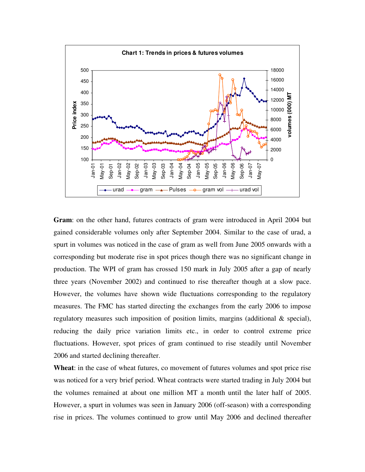

**Gram**: on the other hand, futures contracts of gram were introduced in April 2004 but gained considerable volumes only after September 2004. Similar to the case of urad, a spurt in volumes was noticed in the case of gram as well from June 2005 onwards with a corresponding but moderate rise in spot prices though there was no significant change in production. The WPI of gram has crossed 150 mark in July 2005 after a gap of nearly three years (November 2002) and continued to rise thereafter though at a slow pace. However, the volumes have shown wide fluctuations corresponding to the regulatory measures. The FMC has started directing the exchanges from the early 2006 to impose regulatory measures such imposition of position limits, margins (additional  $\&$  special), reducing the daily price variation limits etc., in order to control extreme price fluctuations. However, spot prices of gram continued to rise steadily until November 2006 and started declining thereafter.

**Wheat**: in the case of wheat futures, co movement of futures volumes and spot price rise was noticed for a very brief period. Wheat contracts were started trading in July 2004 but the volumes remained at about one million MT a month until the later half of 2005. However, a spurt in volumes was seen in January 2006 (off-season) with a corresponding rise in prices. The volumes continued to grow until May 2006 and declined thereafter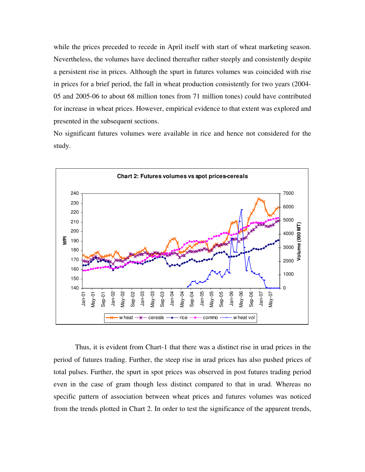while the prices preceded to recede in April itself with start of wheat marketing season. Nevertheless, the volumes have declined thereafter rather steeply and consistently despite a persistent rise in prices. Although the spurt in futures volumes was coincided with rise in prices for a brief period, the fall in wheat production consistently for two years (2004- 05 and 2005-06 to about 68 million tones from 71 million tones) could have contributed for increase in wheat prices. However, empirical evidence to that extent was explored and presented in the subsequent sections.

No significant futures volumes were available in rice and hence not considered for the study.



Thus, it is evident from Chart-1 that there was a distinct rise in urad prices in the period of futures trading. Further, the steep rise in urad prices has also pushed prices of total pulses. Further, the spurt in spot prices was observed in post futures trading period even in the case of gram though less distinct compared to that in urad. Whereas no specific pattern of association between wheat prices and futures volumes was noticed from the trends plotted in Chart 2. In order to test the significance of the apparent trends,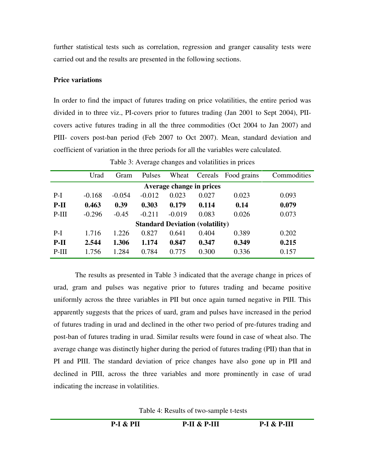further statistical tests such as correlation, regression and granger causality tests were carried out and the results are presented in the following sections.

# **Price variations**

In order to find the impact of futures trading on price volatilities, the entire period was divided in to three viz., PI-covers prior to futures trading (Jan 2001 to Sept 2004), PIIcovers active futures trading in all the three commodities (Oct 2004 to Jan 2007) and PIII- covers post-ban period (Feb 2007 to Oct 2007). Mean, standard deviation and coefficient of variation in the three periods for all the variables were calculated.

|         | Urad     | Gram     | Pulses   | Wheat    | Cereals                                | Food grains | Commodities |
|---------|----------|----------|----------|----------|----------------------------------------|-------------|-------------|
|         |          |          |          |          | Average change in prices               |             |             |
|         |          |          |          |          |                                        |             |             |
| $P-I$   | $-0.168$ | $-0.054$ | $-0.012$ | 0.023    | 0.027                                  | 0.023       | 0.093       |
| $P-II$  | 0.463    | 0.39     | 0.303    | 0.179    | 0.114                                  | 0.14        | 0.079       |
| $P-III$ | $-0.296$ | $-0.45$  | $-0.211$ | $-0.019$ | 0.083                                  | 0.026       | 0.073       |
|         |          |          |          |          | <b>Standard Deviation (volatility)</b> |             |             |
| $P-I$   | 1.716    | 1.226    | 0.827    | 0.641    | 0.404                                  | 0.389       | 0.202       |
| $P-II$  | 2.544    | 1.306    | 1.174    | 0.847    | 0.347                                  | 0.349       | 0.215       |
| $P-III$ | 1.756    | 1.284    | 0.784    | 0.775    | 0.300                                  | 0.336       | 0.157       |

Table 3: Average changes and volatilities in prices

The results as presented in Table 3 indicated that the average change in prices of urad, gram and pulses was negative prior to futures trading and became positive uniformly across the three variables in PII but once again turned negative in PIII. This apparently suggests that the prices of uard, gram and pulses have increased in the period of futures trading in urad and declined in the other two period of pre-futures trading and post-ban of futures trading in urad. Similar results were found in case of wheat also. The average change was distinctly higher during the period of futures trading (PII) than that in PI and PIII. The standard deviation of price changes have also gone up in PII and declined in PIII, across the three variables and more prominently in case of urad indicating the increase in volatilities.

Table 4: Results of two-sample t-tests

**P-I & PII P-II & P-III P-I & P-III**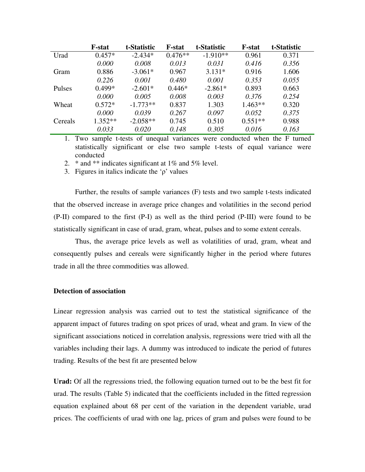|         | <b>F</b> -stat | t-Statistic | <b>F-stat</b> | t-Statistic | <b>F</b> -stat | t-Statistic |
|---------|----------------|-------------|---------------|-------------|----------------|-------------|
| Urad    | $0.457*$       | $-2.434*$   | $0.476**$     | $-1.910**$  | 0.961          | 0.371       |
|         | 0.000          | 0.008       | 0.013         | 0.031       | 0.416          | 0.356       |
| Gram    | 0.886          | $-3.061*$   | 0.967         | $3.131*$    | 0.916          | 1.606       |
|         | 0.226          | 0.001       | 0.480         | 0.001       | 0.353          | 0.055       |
| Pulses  | $0.499*$       | $-2.601*$   | $0.446*$      | $-2.861*$   | 0.893          | 0.663       |
|         | 0.000          | 0.005       | 0.008         | 0.003       | 0.376          | 0.254       |
| Wheat   | $0.572*$       | $-1.773**$  | 0.837         | 1.303       | $1.463**$      | 0.320       |
|         | 0.000          | 0.039       | 0.267         | 0.097       | 0.052          | 0.375       |
| Cereals | $1.352**$      | $-2.058**$  | 0.745         | 0.510       | $0.551**$      | 0.988       |
|         | 0.033          | 0.020       | 0.148         | 0.305       | 0.016          | 0.163       |

1. Two sample t-tests of unequal variances were conducted when the F turned statistically significant or else two sample t-tests of equal variance were conducted

2.  $*$  and  $**$  indicates significant at 1% and 5% level.

3. Figures in italics indicate the 'ρ' values

Further, the results of sample variances (F) tests and two sample t-tests indicated that the observed increase in average price changes and volatilities in the second period (P-II) compared to the first (P-I) as well as the third period (P-III) were found to be statistically significant in case of urad, gram, wheat, pulses and to some extent cereals.

Thus, the average price levels as well as volatilities of urad, gram, wheat and consequently pulses and cereals were significantly higher in the period where futures trade in all the three commodities was allowed.

### **Detection of association**

Linear regression analysis was carried out to test the statistical significance of the apparent impact of futures trading on spot prices of urad, wheat and gram. In view of the significant associations noticed in correlation analysis, regressions were tried with all the variables including their lags. A dummy was introduced to indicate the period of futures trading. Results of the best fit are presented below

**Urad:** Of all the regressions tried, the following equation turned out to be the best fit for urad. The results (Table 5) indicated that the coefficients included in the fitted regression equation explained about 68 per cent of the variation in the dependent variable, urad prices. The coefficients of urad with one lag, prices of gram and pulses were found to be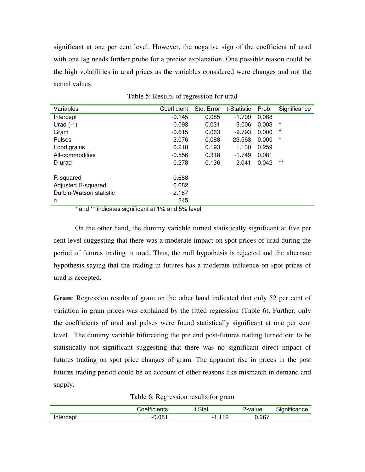significant at one per cent level. However, the negative sign of the coefficient of urad with one lag needs further probe for a precise explanation. One possible reason could be the high volatilities in urad prices as the variables considered were changes and not the actual values.

| Variables               | Coefficient | Std. Error | t-Statistic | Prob. | Significance |
|-------------------------|-------------|------------|-------------|-------|--------------|
| Intercept               | $-0.145$    | 0.085      | $-1.709$    | 0.088 |              |
| Urad $(-1)$             | $-0.093$    | 0.031      | $-3.006$    | 0.003 | $^\star$     |
| Gram                    | $-0.615$    | 0.063      | $-9.793$    | 0.000 | $\star$      |
| Pulses                  | 2.076       | 0.088      | 23.563      | 0.000 | $^\star$     |
| Food grains             | 0.218       | 0.193      | 1.130       | 0.259 |              |
| All-commodities         | $-0.556$    | 0.318      | $-1.749$    | 0.081 |              |
| D-urad                  | 0.278       | 0.136      | 2.041       | 0.042 | $***$        |
| R-squared               | 0.688       |            |             |       |              |
| Adjusted R-squared      | 0.682       |            |             |       |              |
| Durbin-Watson statistic | 2.187       |            |             |       |              |
| n                       | 345         |            |             |       |              |

| Table 5: Results of regression for urad |  |  |  |
|-----------------------------------------|--|--|--|
|                                         |  |  |  |

\* and \*\* indicates significant at 1% and 5% level

On the other hand, the dummy variable turned statistically significant at five per cent level suggesting that there was a moderate impact on spot prices of urad during the period of futures trading in urad. Thus, the null hypothesis is rejected and the alternate hypothesis saying that the trading in futures has a moderate influence on spot prices of urad is accepted.

**Gram**: Regression results of gram on the other hand indicated that only 52 per cent of variation in gram prices was explained by the fitted regression (Table 6). Further, only the coefficients of urad and pulses were found statistically significant at one per cent level. The dummy variable bifurcating the pre and post-futures trading turned out to be statistically not significant suggesting that there was no significant direct impact of futures trading on spot price changes of gram. The apparent rise in prices in the post futures trading period could be on account of other reasons like mismatch in demand and supply.

Table 6: Regression results for gram

|           | ;oetticients | Stat                     | P-value | Significance |
|-----------|--------------|--------------------------|---------|--------------|
| Intercept | 0.081        | $\overline{\phantom{0}}$ | ა.267   |              |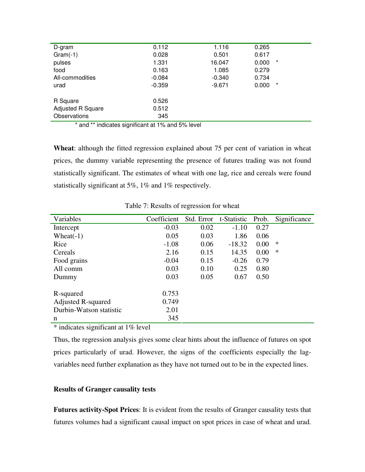| D-gram                   | 0.112    | 1.116    | 0.265             |  |
|--------------------------|----------|----------|-------------------|--|
| $Gram(-1)$               | 0.028    | 0.501    | 0.617             |  |
| pulses                   | 1.331    | 16.047   | $^\star$<br>0.000 |  |
| food                     | 0.163    | 1.085    | 0.279             |  |
| All-commodities          | $-0.084$ | $-0.340$ | 0.734             |  |
| urad                     | $-0.359$ | $-9.671$ | $^\star$<br>0.000 |  |
|                          |          |          |                   |  |
| R Square                 | 0.526    |          |                   |  |
| <b>Adjusted R Square</b> | 0.512    |          |                   |  |
| <b>Observations</b>      | 345      |          |                   |  |
|                          |          |          |                   |  |

\* and \*\* indicates significant at 1% and 5% level

**Wheat**: although the fitted regression explained about 75 per cent of variation in wheat prices, the dummy variable representing the presence of futures trading was not found statistically significant. The estimates of wheat with one lag, rice and cereals were found statistically significant at 5%, 1% and 1% respectively.

| Variables                 | Coefficient |      | Std. Error t-Statistic | Prob. | Significance |
|---------------------------|-------------|------|------------------------|-------|--------------|
| Intercept                 | $-0.03$     | 0.02 | $-1.10$                | 0.27  |              |
| Wheat $(-1)$              | 0.05        | 0.03 | 1.86                   | 0.06  |              |
| Rice                      | $-1.08$     | 0.06 | $-18.32$               | 0.00  | ∗            |
| Cereals                   | 2.16        | 0.15 | 14.35                  | 0.00  | ∗            |
| Food grains               | $-0.04$     | 0.15 | $-0.26$                | 0.79  |              |
| All comm                  | 0.03        | 0.10 | 0.25                   | 0.80  |              |
| Dummy                     | 0.03        | 0.05 | 0.67                   | 0.50  |              |
|                           |             |      |                        |       |              |
| R-squared                 | 0.753       |      |                        |       |              |
| <b>Adjusted R-squared</b> | 0.749       |      |                        |       |              |
| Durbin-Watson statistic   | 2.01        |      |                        |       |              |
| n                         | 345         |      |                        |       |              |

Table 7: Results of regression for wheat

\* indicates significant at 1% level

Thus, the regression analysis gives some clear hints about the influence of futures on spot prices particularly of urad. However, the signs of the coefficients especially the lagvariables need further explanation as they have not turned out to be in the expected lines.

## **Results of Granger causality tests**

**Futures activity-Spot Prices**: It is evident from the results of Granger causality tests that futures volumes had a significant causal impact on spot prices in case of wheat and urad.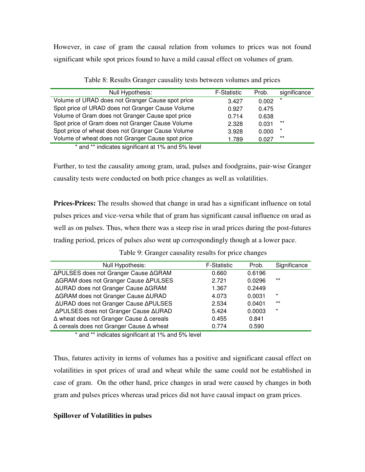However, in case of gram the causal relation from volumes to prices was not found significant while spot prices found to have a mild causal effect on volumes of gram.

| Null Hypothesis:                                                   | <b>F-Statistic</b> | Prob. | significance |
|--------------------------------------------------------------------|--------------------|-------|--------------|
| Volume of URAD does not Granger Cause spot price                   | 3.427              | 0.002 | $\star$      |
| Spot price of URAD does not Granger Cause Volume                   | 0.927              | 0.475 |              |
| Volume of Gram does not Granger Cause spot price                   | 0.714              | 0.638 |              |
| Spot price of Gram does not Granger Cause Volume                   | 2.328              | 0.031 | $***$        |
| Spot price of wheat does not Granger Cause Volume                  | 3.928              | 0.000 | $\star$      |
| Volume of wheat does not Granger Cause spot price                  | 1.789              | 0.027 | $***$        |
| $\star$ and $\star\star$ indicates similizate at 40/ and F0/ level |                    |       |              |

Table 8: Results Granger causality tests between volumes and prices

and \*\* indicates significant at 1% and 5% level

Further, to test the causality among gram, urad, pulses and foodgrains, pair-wise Granger causality tests were conducted on both price changes as well as volatilities.

**Prices-Prices:** The results showed that change in urad has a significant influence on total pulses prices and vice-versa while that of gram has significant causal influence on urad as well as on pulses. Thus, when there was a steep rise in urad prices during the post-futures trading period, prices of pulses also went up correspondingly though at a lower pace.

| Null Hypothesis:                                       | <b>F-Statistic</b> | Prob.  | Significance |
|--------------------------------------------------------|--------------------|--------|--------------|
| ΔPULSES does not Granger Cause ΔGRAM                   | 0.660              | 0.6196 |              |
| ΔGRAM does not Granger Cause ΔPULSES                   | 2.721              | 0.0296 | $***$        |
| ΔURAD does not Granger Cause ΔGRAM                     | 1.367              | 0.2449 |              |
| ΔGRAM does not Granger Cause ΔURAD                     | 4.073              | 0.0031 | $\star$      |
| ΔURAD does not Granger Cause ΔPULSES                   | 2.534              | 0.0401 | $***$        |
| ΔPULSES does not Granger Cause ΔURAD                   | 5.424              | 0.0003 | *            |
| ∆ wheat does not Granger Cause ∆ cereals               | 0.455              | 0.841  |              |
| $\Delta$ cereals does not Granger Cause $\Delta$ wheat | 0.774              | 0.590  |              |
|                                                        |                    |        |              |

Table 9: Granger causality results for price changes

\* and \*\* indicates significant at 1% and 5% level

Thus, futures activity in terms of volumes has a positive and significant causal effect on volatilities in spot prices of urad and wheat while the same could not be established in case of gram. On the other hand, price changes in urad were caused by changes in both gram and pulses prices whereas urad prices did not have causal impact on gram prices.

## **Spillover of Volatilities in pulses**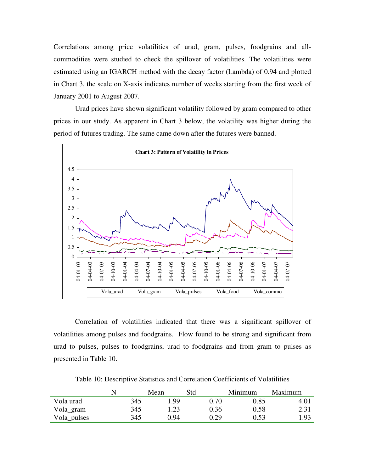Correlations among price volatilities of urad, gram, pulses, foodgrains and allcommodities were studied to check the spillover of volatilities. The volatilities were estimated using an IGARCH method with the decay factor (Lambda) of 0.94 and plotted in Chart 3, the scale on X-axis indicates number of weeks starting from the first week of January 2001 to August 2007.

Urad prices have shown significant volatility followed by gram compared to other prices in our study. As apparent in Chart 3 below, the volatility was higher during the period of futures trading. The same came down after the futures were banned.



Correlation of volatilities indicated that there was a significant spillover of volatilities among pulses and foodgrains. Flow found to be strong and significant from urad to pulses, pulses to foodgrains, urad to foodgrains and from gram to pulses as presented in Table 10.

|             |     | Mean | Std      | Minimum | Maximum |
|-------------|-----|------|----------|---------|---------|
| Vola urad   | 345 | ∣.99 | $0.70\,$ | 0.85    | 4.01    |
| Vola_gram   | 345 | 1.23 | 0.36     | 0.58    | 2.31    |
| Vola_pulses | 345 | 0.94 | 0.29     | 0.53    | 1.93    |

Table 10: Descriptive Statistics and Correlation Coefficients of Volatilities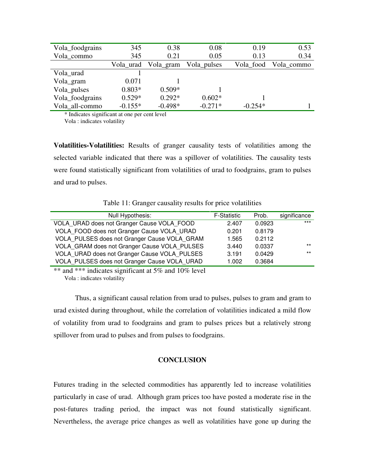| Vola_foodgrains | 345       | 0.38      | 0.08        | 0.19      | 0.53       |
|-----------------|-----------|-----------|-------------|-----------|------------|
| Vola commo      | 345       | 0.21      | 0.05        | 0.13      | 0.34       |
|                 | Vola_urad | Vola_gram | Vola_pulses | Vola food | Vola_commo |
| Vola urad       |           |           |             |           |            |
| Vola_gram       | 0.071     |           |             |           |            |
| Vola_pulses     | $0.803*$  | $0.509*$  |             |           |            |
| Vola_foodgrains | $0.529*$  | $0.292*$  | $0.602*$    |           |            |
| Vola all-commo  | $-0.155*$ | $-0.498*$ | $-0.271*$   | $-0.254*$ |            |

\* Indicates significant at one per cent level

Vola : indicates volatility

**Volatilities-Volatilities:** Results of granger causality tests of volatilities among the selected variable indicated that there was a spillover of volatilities. The causality tests were found statistically significant from volatilities of urad to foodgrains, gram to pulses and urad to pulses.

Table 11: Granger causality results for price volatilities

| Null Hypothesis:                             | <b>F-Statistic</b> | Prob.  | significance |
|----------------------------------------------|--------------------|--------|--------------|
| VOLA URAD does not Granger Cause VOLA FOOD   | 2.407              | 0.0923 | $***$        |
| VOLA FOOD does not Granger Cause VOLA URAD   | 0.201              | 0.8179 |              |
| VOLA_PULSES does not Granger Cause VOLA GRAM | 1.565              | 0.2112 |              |
| VOLA GRAM does not Granger Cause VOLA PULSES | 3.440              | 0.0337 | $***$        |
| VOLA URAD does not Granger Cause VOLA PULSES | 3.191              | 0.0429 | $***$        |
| VOLA PULSES does not Granger Cause VOLA URAD | 1.002              | 0.3684 |              |
|                                              |                    |        |              |

\*\* and \*\*\* indicates significant at 5% and 10% level Vola : indicates volatility

Thus, a significant causal relation from urad to pulses, pulses to gram and gram to urad existed during throughout, while the correlation of volatilities indicated a mild flow of volatility from urad to foodgrains and gram to pulses prices but a relatively strong spillover from urad to pulses and from pulses to foodgrains.

## **CONCLUSION**

Futures trading in the selected commodities has apparently led to increase volatilities particularly in case of urad. Although gram prices too have posted a moderate rise in the post-futures trading period, the impact was not found statistically significant. Nevertheless, the average price changes as well as volatilities have gone up during the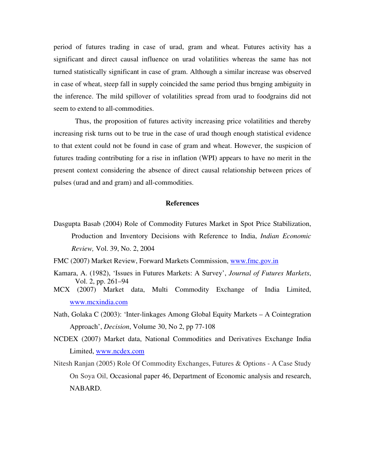period of futures trading in case of urad, gram and wheat. Futures activity has a significant and direct causal influence on urad volatilities whereas the same has not turned statistically significant in case of gram. Although a similar increase was observed in case of wheat, steep fall in supply coincided the same period thus brnging ambiguity in the inference. The mild spillover of volatilities spread from urad to foodgrains did not seem to extend to all-commodities.

Thus, the proposition of futures activity increasing price volatilities and thereby increasing risk turns out to be true in the case of urad though enough statistical evidence to that extent could not be found in case of gram and wheat. However, the suspicion of futures trading contributing for a rise in inflation (WPI) appears to have no merit in the present context considering the absence of direct causal relationship between prices of pulses (urad and and gram) and all-commodities.

### **References**

- Dasgupta Basab (2004) Role of Commodity Futures Market in Spot Price Stabilization, Production and Inventory Decisions with Reference to India, *Indian Economic Review,* Vol. 39, No. 2, 2004
- FMC (2007) Market Review, Forward Markets Commission, www.fmc.gov.in
- Kamara, A. (1982), 'Issues in Futures Markets: A Survey', *Journal of Futures Markets*, Vol. 2, pp. 261–94
- MCX (2007) Market data, Multi Commodity Exchange of India Limited, www.mcxindia.com
- Nath, Golaka C (2003): 'Inter-linkages Among Global Equity Markets A Cointegration Approach', *Decision*, Volume 30, No 2, pp 77-108
- NCDEX (2007) Market data, National Commodities and Derivatives Exchange India Limited, www.ncdex.com
- Nitesh Ranjan (2005) Role Of Commodity Exchanges, Futures & Options A Case Study On Soya Oil, Occasional paper 46, Department of Economic analysis and research, NABARD.